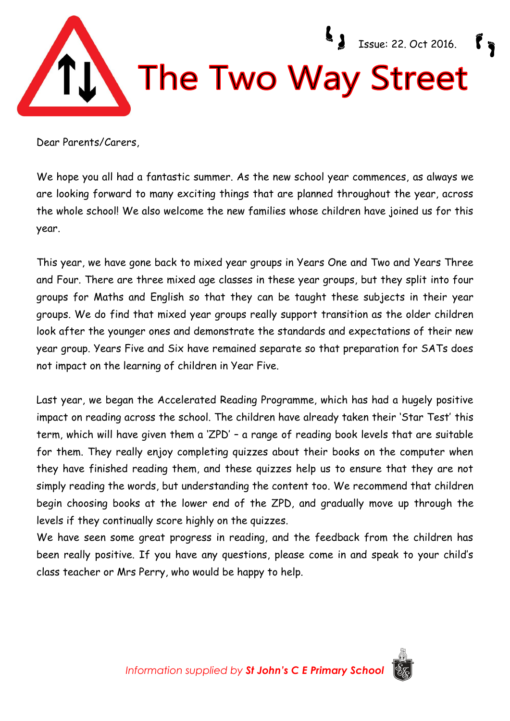

Dear Parents/Carers

We hope you all had a fantastic summer. As the new school year commences, as always we are looking forward to many exciting things that are planned throughout the year, across the whole school! We also welcome the new families whose children have joined us for this year.

This year, we have gone back to mixed year groups in Years One and Two and Years Three and Four. There are three mixed age classes in these year groups, but they split into four groups for Maths and English so that they can be taught these subjects in their year groups. We do find that mixed year groups really support transition as the older children look after the younger ones and demonstrate the standards and expectations of their new year group. Years Five and Six have remained separate so that preparation for SATs does not impact on the learning of children in Year Five.

Last year, we began the Accelerated Reading Programme, which has had a hugely positive impact on reading across the school. The children have already taken their 'Star Test' this term, which will have given them a 'ZPD' – a range of reading book levels that are suitable for them. They really enjoy completing quizzes about their books on the computer when they have finished reading them, and these quizzes help us to ensure that they are not simply reading the words, but understanding the content too. We recommend that children begin choosing books at the lower end of the ZPD, and gradually move up through the levels if they continually score highly on the quizzes.

We have seen some great progress in reading, and the feedback from the children has been really positive. If you have any questions, please come in and speak to your child's class teacher or Mrs Perry, who would be happy to help.